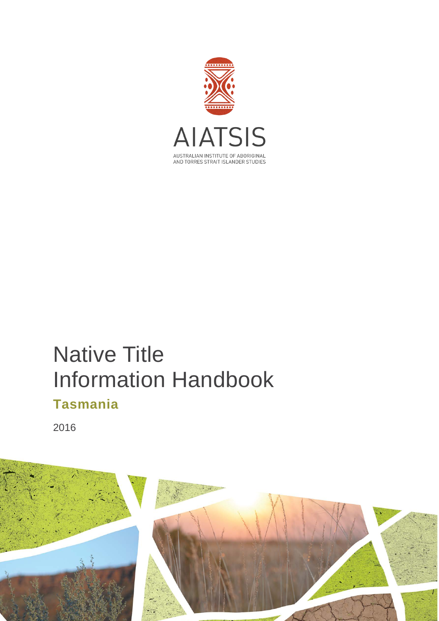

# Native Title Information Handbook **Tasmania**

2016

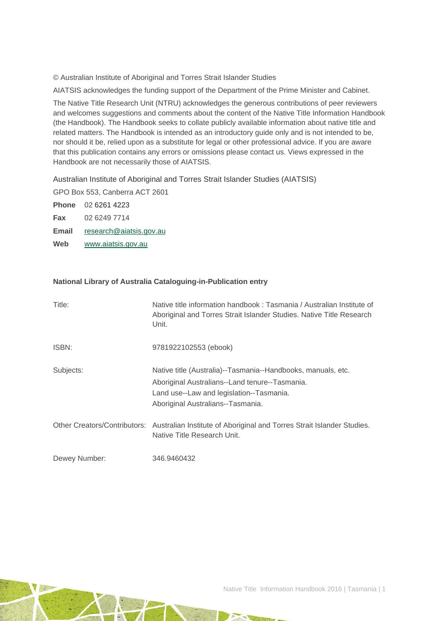© Australian Institute of Aboriginal and Torres Strait Islander Studies

AIATSIS acknowledges the funding support of the Department of the Prime Minister and Cabinet.

The Native Title Research Unit (NTRU) acknowledges the generous contributions of peer reviewers and welcomes suggestions and comments about the content of the Native Title Information Handbook (the Handbook). The Handbook seeks to collate publicly available information about native title and related matters. The Handbook is intended as an introductory guide only and is not intended to be, nor should it be, relied upon as a substitute for legal or other professional advice. If you are aware that this publication contains any errors or omissions please contact us. Views expressed in the Handbook are not necessarily those of AIATSIS.

Australian Institute of Aboriginal and Torres Strait Islander Studies (AIATSIS)

GPO Box 553, Canberra ACT 2601

**Phone** 02 6261 4223 **Fax** 02 6249 7714 **Email** [research@aiatsis.gov.au](mailto:research@aiatsis.gov.au) **Web** [www.aiatsis.gov.au](http://www.aiatsis.gov.au/) 

#### **National Library of Australia Cataloguing-in-Publication entry**

| Title:        | Native title information handbook: Tasmania / Australian Institute of<br>Aboriginal and Torres Strait Islander Studies. Native Title Research<br>Unit.                                          |
|---------------|-------------------------------------------------------------------------------------------------------------------------------------------------------------------------------------------------|
| ISBN:         | 9781922102553 (ebook)                                                                                                                                                                           |
| Subjects:     | Native title (Australia)--Tasmania--Handbooks, manuals, etc.<br>Aboriginal Australians--Land tenure--Tasmania.<br>Land use--Law and legislation--Tasmania.<br>Aboriginal Australians--Tasmania. |
|               | Other Creators/Contributors: Australian Institute of Aboriginal and Torres Strait Islander Studies.<br>Native Title Research Unit.                                                              |
| Dewey Number: | 346.9460432                                                                                                                                                                                     |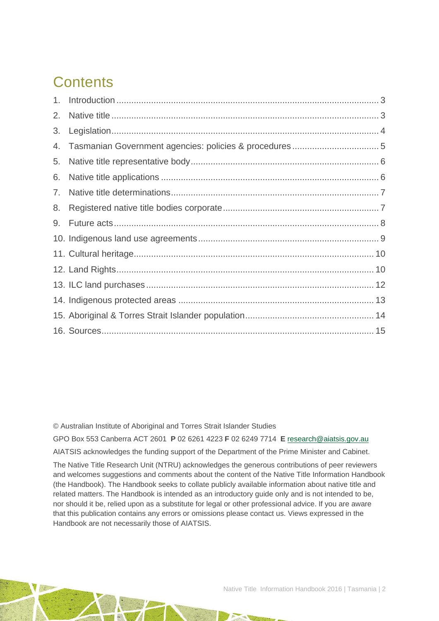# **Contents**

| 3. |  |
|----|--|
| 4. |  |
| 5. |  |
| 6. |  |
|    |  |
| 8. |  |
| 9. |  |
|    |  |
|    |  |
|    |  |
|    |  |
|    |  |
|    |  |
|    |  |

© Australian Institute of Aboriginal and Torres Strait Islander Studies

GPO Box 553 Canberra ACT 2601 **P** 02 6261 4223 **F** 02 6249 7714 **E** [research@aiatsis.gov.au](mailto:research@aiatsis.gov.au)

AIATSIS acknowledges the funding support of the Department of the Prime Minister and Cabinet.

The Native Title Research Unit (NTRU) acknowledges the generous contributions of peer reviewers and welcomes suggestions and comments about the content of the Native Title Information Handbook (the Handbook). The Handbook seeks to collate publicly available information about native title and related matters. The Handbook is intended as an introductory guide only and is not intended to be, nor should it be, relied upon as a substitute for legal or other professional advice. If you are aware that this publication contains any errors or omissions please contact us. Views expressed in the Handbook are not necessarily those of AIATSIS.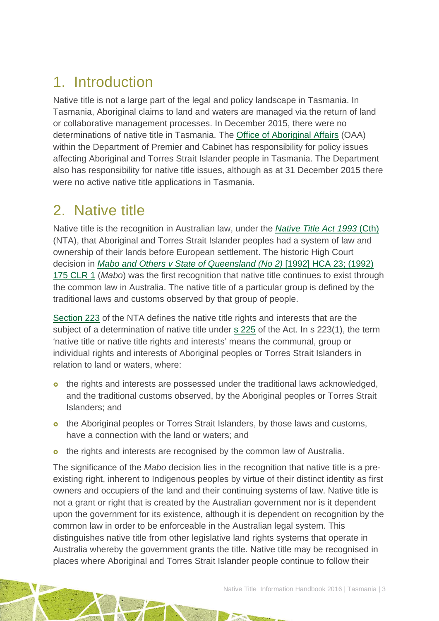## <span id="page-3-0"></span>1. Introduction

Native title is not a large part of the legal and policy landscape in Tasmania. In Tasmania, Aboriginal claims to land and waters are managed via the return of land or collaborative management processes. In December 2015, there were no determinations of native title in Tasmania. The [Office of Aboriginal Affairs](http://www.dpac.tas.gov.au/divisions/csr/oaa) (OAA) within the Department of Premier and Cabinet has responsibility for policy issues affecting Aboriginal and Torres Strait Islander people in Tasmania. The Department also has responsibility for native title issues, although as at 31 December 2015 there were no active native title applications in Tasmania.

## <span id="page-3-1"></span>2. Native title

Native title is the recognition in Australian law, under the *[Native Title Act 1993](http://www.austlii.edu.au/au/legis/cth/consol_act/nta1993147/)* (Cth) (NTA), that Aboriginal and Torres Strait Islander peoples had a system of law and ownership of their lands before European settlement. The historic High Court decision in *[Mabo and Others v State of Queensland \(No 2\)](http://www.austlii.edu.au/au/cases/cth/HCA/1992/23.html)* [1992] HCA 23; (1992) [175 CLR 1](http://www.austlii.edu.au/au/cases/cth/HCA/1992/23.html) (*Mabo*) was the first recognition that native title continues to exist through the common law in Australia. The native title of a particular group is defined by the traditional laws and customs observed by that group of people.

[Section 223](http://www.austlii.edu.au/au/legis/cth/consol_act/nta1993147/s223.html) of the NTA defines the native title rights and interests that are the subject of a determination of native title under [s 225](http://www.austlii.edu.au/au/legis/cth/consol_act/nta1993147/s225.html) of the Act. In s 223(1), the term 'native title or native title rights and interests' means the communal, group or individual rights and interests of Aboriginal peoples or Torres Strait Islanders in relation to land or waters, where:

- o the rights and interests are possessed under the traditional laws acknowledged, and the traditional customs observed, by the Aboriginal peoples or Torres Strait Islanders; and
- o the Aboriginal peoples or Torres Strait Islanders, by those laws and customs, have a connection with the land or waters; and
- **o** the rights and interests are recognised by the common law of Australia.

The significance of the *Mabo* decision lies in the recognition that native title is a preexisting right, inherent to Indigenous peoples by virtue of their distinct identity as first owners and occupiers of the land and their continuing systems of law. Native title is not a grant or right that is created by the Australian government nor is it dependent upon the government for its existence, although it is dependent on recognition by the common law in order to be enforceable in the Australian legal system. This distinguishes native title from other legislative land rights systems that operate in Australia whereby the government grants the title. Native title may be recognised in places where Aboriginal and Torres Strait Islander people continue to follow their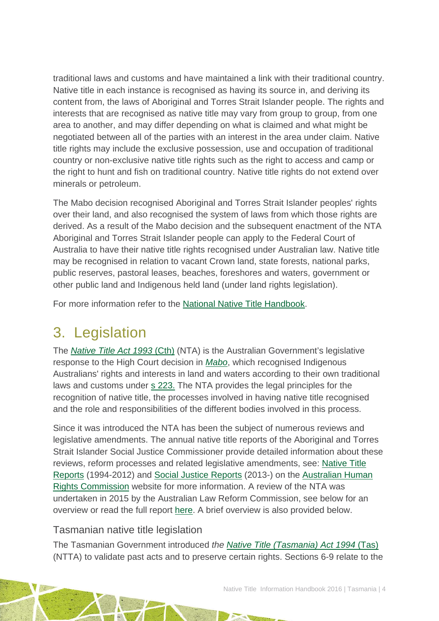traditional laws and customs and have maintained a link with their traditional country. Native title in each instance is recognised as having its source in, and deriving its content from, the laws of Aboriginal and Torres Strait Islander people. The rights and interests that are recognised as native title may vary from group to group, from one area to another, and may differ depending on what is claimed and what might be negotiated between all of the parties with an interest in the area under claim. Native title rights may include the exclusive possession, use and occupation of traditional country or non-exclusive native title rights such as the right to access and camp or the right to hunt and fish on traditional country. Native title rights do not extend over minerals or petroleum.

The Mabo decision recognised Aboriginal and Torres Strait Islander peoples' rights over their land, and also recognised the system of laws from which those rights are derived. As a result of the Mabo decision and the subsequent enactment of the NTA Aboriginal and Torres Strait Islander people can apply to the Federal Court of Australia to have their native title rights recognised under Australian law. Native title may be recognised in relation to vacant Crown land, state forests, national parks, public reserves, pastoral leases, beaches, foreshores and waters, government or other public land and Indigenous held land (under land rights legislation).

For more information refer to the [National Native Title Handbook.](http://aiatsis.gov.au/publications/products/native-title-information-handbooks)

## <span id="page-4-0"></span>3. Legislation

The *[Native Title Act 1993](http://www.austlii.edu.au/au/legis/cth/consol_act/nta1993147/)* (Cth) (NTA) is the Australian Government's legislative response to the High Court decision in *[Mabo](http://www.austlii.edu.au/au/cases/cth/HCA/1992/23.html)*, which recognised Indigenous Australians' rights and interests in land and waters according to their own traditional laws and customs under [s 223.](http://www.austlii.edu.au/au/legis/cth/consol_act/nta1993147/s223.html) The NTA provides the legal principles for the recognition of native title, the processes involved in having native title recognised and the role and responsibilities of the different bodies involved in this process.

Since it was introduced the NTA has been the subject of numerous reviews and legislative amendments. The annual native title reports of the Aboriginal and Torres Strait Islander Social Justice Commissioner provide detailed information about these reviews, reform processes and related legislative amendments, see: [Native Title](https://www.humanrights.gov.au/our-work/aboriginal-and-torres-strait-islander-social-justice/publications/native-title-reports)  [Reports](https://www.humanrights.gov.au/our-work/aboriginal-and-torres-strait-islander-social-justice/publications/native-title-reports) (1994-2012) and [Social Justice Reports](https://www.humanrights.gov.au/our-work/aboriginal-and-torres-strait-islander-social-justice/projects/social-justice-and-native) (2013-) on the [Australian Human](https://www.humanrights.gov.au/)  [Rights Commission](https://www.humanrights.gov.au/) website for more information. A review of the NTA was undertaken in 2015 by the Australian Law Reform Commission, see below for an overview or read the full report [here.](https://www.alrc.gov.au/publications/alrc126) A brief overview is also provided below.

#### Tasmanian native title legislation

The Tasmanian Government introduced *the [Native Title \(Tasmania\) Act 1994](http://www.austlii.edu.au/au/legis/tas/consol_act/nta1994217/)* (Tas) (NTTA) to validate past acts and to preserve certain rights. Sections 6-9 relate to the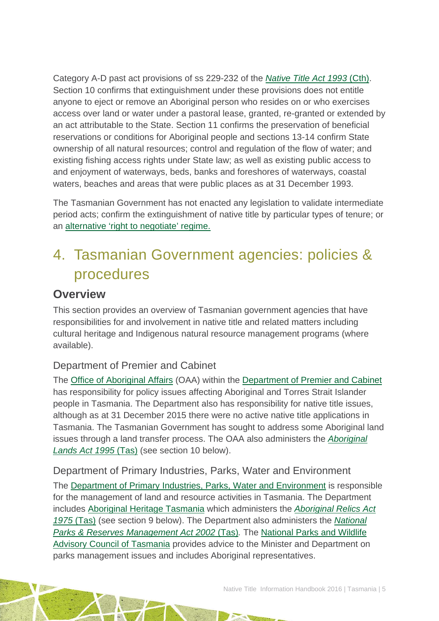Category A-D past act provisions of ss 229-232 of the *[Native Title Act 1993](http://www.austlii.edu.au/au/legis/cth/consol_act/nta1993147/)* (Cth[\).](http://www.austlii.edu.au/au/legis/cth/consol_act/nta1993147/) Section 10 confirms that extinguishment under these provisions does not entitle anyone to eject or remove an Aboriginal person who resides on or who exercises access over land or water under a pastoral lease, granted, re-granted or extended by an act attributable to the State. Section 11 confirms the preservation of beneficial reservations or conditions for Aboriginal people and sections 13-14 confirm State ownership of all natural resources; control and regulation of the flow of water; and existing fishing access rights under State law; as well as existing public access to and enjoyment of waterways, beds, banks and foreshores of waterways, coastal waters, beaches and areas that were public places as at 31 December 1993.

The Tasmanian Government has not enacted any legislation to validate intermediate period acts; confirm the extinguishment of native title by particular types of tenure; or an [alternative 'right to negotiate' regime.](http://www.ag.gov.au/LegalSystem/NativeTitle/Pages/StateAndTerritoryAlternativeToRightToNegotiate.aspx)

## <span id="page-5-0"></span>4. Tasmanian Government agencies: policies & procedures

### **Overview**

This section provides an overview of Tasmanian government agencies that have responsibilities for and involvement in native title and related matters including cultural heritage and Indigenous natural resource management programs (where available).

#### Department of Premier and Cabinet

The [Office of Aboriginal Affairs](http://www.dpac.tas.gov.au/divisions/csrt/oaa) (OAA) within the [Department of Premier and Cabinet](http://www.dpac.tas.gov.au/divisions/csrt/) has responsibility for policy issues affecting Aboriginal and Torres Strait Islander people in Tasmania. The Department also has responsibility for native title issues, although as at 31 December 2015 there were no active native title applications in Tasmania. The Tasmanian Government has sought to address some Aboriginal land issues through a land transfer process. The OAA also administers the *[Aboriginal](http://www.austlii.edu.au/au/legis/tas/consol_act/ala1995144/)  [Lands Act 1995](http://www.austlii.edu.au/au/legis/tas/consol_act/ala1995144/)* (Tas) (see section 10 below).

Department of Primary Industries, Parks, Water and Environment The [Department of Primary Industries, Parks, Water and Environment](http://dpipwe.tas.gov.au/) is responsible for the management of land and resource activities in Tasmania. The Department includes [Aboriginal Heritage Tasmania](http://www.aboriginalheritage.tas.gov.au/) which administers the *[Aboriginal Relics Act](http://www5.austlii.edu.au/au/legis/tas/consol_act/ara1975159/)  1975* [\(Tas\)](http://www5.austlii.edu.au/au/legis/tas/consol_act/ara1975159/) (see section 9 below). The Department also administers the *[National](http://www5.austlii.edu.au/au/legis/tas/consol_act/nparma2002361/)  [Parks & Reserves Management Act 2002](http://www5.austlii.edu.au/au/legis/tas/consol_act/nparma2002361/)* (Tas)*.* The [National Parks and Wildlife](http://www.parks.tas.gov.au/index.aspx?id=1715)  [Advisory Council of Tasmania](http://www.parks.tas.gov.au/index.aspx?id=1715) provides advice to the Minister and Department on parks management issues and includes Aboriginal representatives.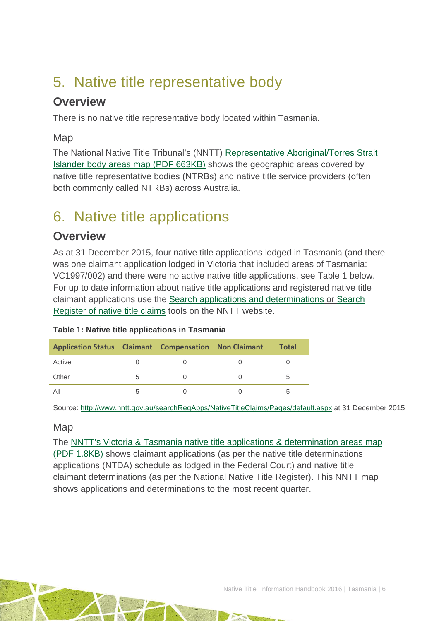## <span id="page-6-0"></span>5. Native title representative body

### **Overview**

There is no native title representative body located within Tasmania.

Map

The National Native Title Tribunal's (NNTT) [Representative Aboriginal/Torres Strait](http://www.nntt.gov.au/Maps/RATSIB_map.pdf)  [Islander body areas map \(PDF 663KB\)](http://www.nntt.gov.au/Maps/RATSIB_map.pdf) shows the geographic areas covered by native title representative bodies (NTRBs) and native title service providers (often both commonly called NTRBs) across Australia.

## <span id="page-6-1"></span>6. Native title applications

### **Overview**

As at 31 December 2015, four native title applications lodged in Tasmania (and there was one claimant application lodged in Victoria that included areas of Tasmania: VC1997/002) and there were no active native title applications, see Table 1 below. For up to date information about native title applications and registered native title claimant applications use the [Search applications and determinations](http://www.nntt.gov.au/searchRegApps/NativeTitleClaims/Pages/default.aspx) or [Search](http://www.nntt.gov.au/searchRegApps/NativeTitleRegisters/Pages/Search-Register-of-Native-Title-Claims.aspx)  [Register of native title claims](http://www.nntt.gov.au/searchRegApps/NativeTitleRegisters/Pages/Search-Register-of-Native-Title-Claims.aspx) tools on the NNTT website.

|  | Table 1: Native title applications in Tasmania |  |
|--|------------------------------------------------|--|
|  |                                                |  |

| <b>Application Status Claimant Compensation Non Claimant</b> |     |  | <b>Total</b> |
|--------------------------------------------------------------|-----|--|--------------|
| Active                                                       |     |  |              |
| Other                                                        | b   |  | .h           |
| All                                                          | 'n. |  |              |

Source:<http://www.nntt.gov.au/searchRegApps/NativeTitleClaims/Pages/default.aspx> at 31 December 2015

#### Map

The NNTT's [Victoria & Tasmania native title applications & determination areas map](http://www.nntt.gov.au/Maps/VIC_TAS_NTDA_Schedule.pdf) 

[\(PDF 1.8KB\)](http://www.nntt.gov.au/Maps/VIC_TAS_NTDA_Schedule.pdf) shows claimant applications (as per the native title determinations applications (NTDA) schedule as lodged in the Federal Court) and native title claimant determinations (as per the National Native Title Register). This NNTT map shows applications and determinations to the most recent quarter.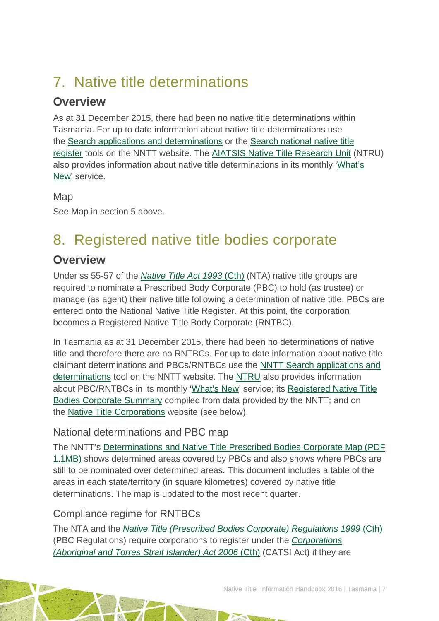# <span id="page-7-0"></span>7. Native title determinations

## **Overview**

As at 31 December 2015, there had been no native title determinations within Tasmania. For up to date information about native title determinations use the [Search applications and determinations](http://www.nntt.gov.au/searchRegApps/NativeTitleClaims/Pages/default.aspx) or the [Search national native title](http://www.nntt.gov.au/searchRegApps/NativeTitleRegisters/Pages/Search-National-Native-Title-Register.aspx)  [register](http://www.nntt.gov.au/searchRegApps/NativeTitleRegisters/Pages/Search-National-Native-Title-Register.aspx) tools on the NNTT website. The [AIATSIS Native Title Research Unit](http://aiatsis.gov.au/research/research-themes/native-title) (NTRU) also provides information about native title determinations in its monthly ['What's](http://aiatsis.gov.au/research/research-themes/native-title/publications/whats-new)  [New'](http://aiatsis.gov.au/research/research-themes/native-title/publications/whats-new) service.

Map

See Map in section 5 above.

# <span id="page-7-1"></span>8. Registered native title bodies corporate

## **Overview**

Under ss 55-57 of the *[Native Title Act 1993](http://www.austlii.edu.au/au/legis/cth/consol_act/nta1993147/)* (Cth) (NTA) native title groups are required to nominate a Prescribed Body Corporate (PBC) to hold (as trustee) or manage (as agent) their native title following a determination of native title. PBCs are entered onto the National Native Title Register. At this point, the corporation becomes a Registered Native Title Body Corporate (RNTBC).

In Tasmania as at 31 December 2015, there had been no determinations of native title and therefore there are no RNTBCs. For up to date information about native title claimant determinations and PBCs/RNTBCs use the [NNTT Search applications and](http://www.nntt.gov.au/searchRegApps/NativeTitleClaims/Pages/default.aspx)  [determinations](http://www.nntt.gov.au/searchRegApps/NativeTitleClaims/Pages/default.aspx) tool on the NNTT website. The [NTRU](http://aiatsis.gov.au/research/research-themes/native-title) also provides information about PBC/RNTBCs in its monthly ['What's New'](http://aiatsis.gov.au/research/research-themes/native-title/publications/whats-new) service; its [Registered Native Title](http://aiatsis.gov.au/publications/products/registered-native-title-bodies-corporate-prescribed-bodies-corporate-summary)  [Bodies Corporate Summary](http://aiatsis.gov.au/publications/products/registered-native-title-bodies-corporate-prescribed-bodies-corporate-summary) compiled from data provided by the NNTT; and on the [Native Title Corporations](http://www.nativetitle.org.au/) website (see below).

### National determinations and PBC map

The NNTT's [Determinations and Native Title Prescribed Bodies Corporate Map \(PDF](http://www.nntt.gov.au/Maps/Determinations_and_PBCs_map.pdf)  [1.1MB\)](http://www.nntt.gov.au/Maps/Determinations_and_PBCs_map.pdf) shows determined areas covered by PBCs and also shows where PBCs are still to be nominated over determined areas. This document includes a table of the areas in each state/territory (in square kilometres) covered by native title determinations. The map is updated to the most recent quarter.

### Compliance regime for RNTBCs

The NTA and the *[Native Title \(Prescribed Bodies Corporate\) Regulations 1999](http://www.austlii.edu.au/au/legis/cth/consol_reg/ntbcr1999495/)* (Cth) (PBC Regulations) require corporations to register under the *[Corporations](http://www5.austlii.edu.au/au/legis/cth/consol_act/catsia2006510/)  [\(Aboriginal and Torres Strait Islander\) Act 2006](http://www5.austlii.edu.au/au/legis/cth/consol_act/catsia2006510/)* (Cth) (CATSI Act) if they are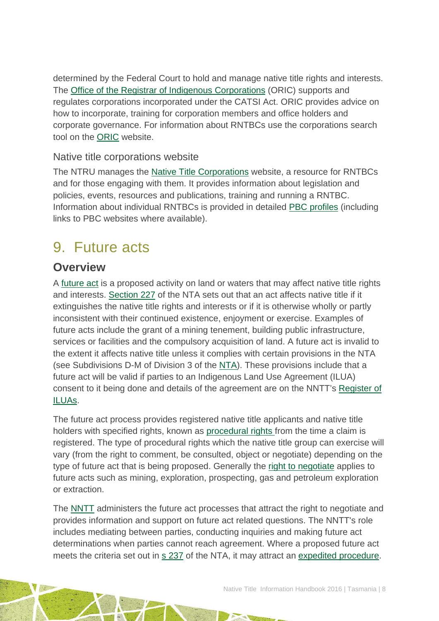determined by the Federal Court to hold and manage native title rights and interests. The [Office of the Registrar of Indigenous Corporations](http://www.oric.gov.au/) (ORIC) supports and regulates corporations incorporated under the CATSI Act. ORIC provides advice on how to incorporate, training for corporation members and office holders and corporate governance. For information about RNTBCs use the corporations search tool on the [ORIC](http://www.oric.gov.au/) website.

#### Native title corporations website

The NTRU manages the [Native Title Corporations](http://www.nativetitle.org.au/) website, a resource for RNTBCs and for those engaging with them. It provides information about legislation and policies, events, resources and publications, training and running a RNTBC. Information about individual RNTBCs is provided in detailed [PBC profiles](http://www.nativetitle.org.au/profiles.html) (including links to PBC websites where available).

## <span id="page-8-0"></span>9. Future acts

### **Overview**

A [future act](http://www.nntt.gov.au/Pages/Glossary.aspx) is a proposed activity on land or waters that may affect native title rights and interests. [Section 227](http://www.austlii.edu.au/au/legis/cth/consol_act/nta1993147/s227.html) of the NTA sets out that an act affects native title if it extinguishes the native title rights and interests or if it is otherwise wholly or partly inconsistent with their continued existence, enjoyment or exercise. Examples of future acts include the grant of a mining tenement, building public infrastructure, services or facilities and the compulsory acquisition of land. A future act is invalid to the extent it affects native title unless it complies with certain provisions in the NTA (see Subdivisions D-M of Division 3 of the [NTA\)](http://www.austlii.edu.au/au/legis/cth/consol_act/nta1993147/). These provisions include that a future act will be valid if parties to an Indigenous Land Use Agreement (ILUA) consent to it being done and details of the agreement are on the NNTT's [Register of](http://www.nntt.gov.au/searchRegApps/NativeTitleRegisters/Pages/Search-Register-of-Indigenous-Land-Use-Agreements.aspx)  [ILUAs.](http://www.nntt.gov.au/searchRegApps/NativeTitleRegisters/Pages/Search-Register-of-Indigenous-Land-Use-Agreements.aspx)

The future act process provides registered native title applicants and native title holders with specified rights, known as [procedural rights f](http://www.nntt.gov.au/Pages/Glossary.aspx)rom the time a claim is registered. The type of procedural rights which the native title group can exercise will vary (from the right to comment, be consulted, object or negotiate) depending on the type of future act that is being proposed. Generally the [right to negotiate](http://www.nntt.gov.au/Pages/Glossary.aspx) applies to future acts such as mining, exploration, prospecting, gas and petroleum exploration or extraction.

The [NNTT](http://www.nntt.gov.au/Pages/Home-Page.aspx) administers the future act processes that attract the right to negotiate and provides information and support on future act related questions. The NNTT's role includes mediating between parties, conducting inquiries and making future act determinations when parties cannot reach agreement. Where a proposed future act meets the criteria set out in [s 237](http://www.austlii.edu.au/au/legis/cth/consol_act/nta1993147/s237.html) of the NTA, it may attract an [expedited procedure.](http://www.nntt.gov.au/Pages/Glossary.aspx)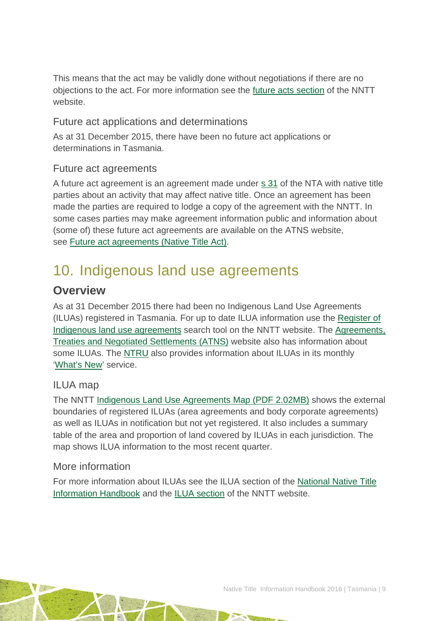This means that the act may be validly done without negotiations if there are no objections to the act. For more information see the [future acts section](http://www.nntt.gov.au/futureacts/Pages/default.aspx) of the NNTT website.

#### Future act applications and determinations

As at 31 December 2015, there have been no future act applications or determinations in Tasmania.

#### Future act agreements

A future act agreement is an agreement made under [s 31](http://www.austlii.edu.au/au/legis/cth/consol_act/nta1993147/s31.html) of the NTA with native title parties about an activity that may affect native title. Once an agreement has been made the parties are required to lodge a copy of the agreement with the NNTT. In some cases parties may make agreement information public and information about (some of) these future act agreements are available on the ATNS website, see [Future act agreements \(Native Title Act\).](http://www.atns.net.au/subcategory.asp?subcategoryID=120)

## <span id="page-9-0"></span>10. Indigenous land use agreements

### **Overview**

As at 31 December 2015 there had been no Indigenous Land Use Agreements (ILUAs) registered in Tasmania. For up to date ILUA information use the [Register of](http://www.nntt.gov.au/searchRegApps/NativeTitleRegisters/Pages/Search-Register-of-Indigenous-Land-Use-Agreements.aspx)  [Indigenous land use agreements](http://www.nntt.gov.au/searchRegApps/NativeTitleRegisters/Pages/Search-Register-of-Indigenous-Land-Use-Agreements.aspx) search tool on the NNTT website. The [Agreements,](http://www.atns.net.au/)  [Treaties and Negotiated Settlements \(ATNS\)](http://www.atns.net.au/) website also has information about some ILUAs. The [NTRU](http://aiatsis.gov.au/research/research-themes/native-title) also provides information about ILUAs in its monthly ['What's New'](http://aiatsis.gov.au/research/research-themes/native-title/publications/whats-new) service.

#### ILUA map

The NNTT [Indigenous Land Use Agreements Map \(PDF 2.02MB\)](http://www.nntt.gov.au/Maps/ILUAs_map.pdf) shows the external boundaries of registered ILUAs (area agreements and body corporate agreements) as well as ILUAs in notification but not yet registered. It also includes a summary table of the area and proportion of land covered by ILUAs in each jurisdiction. The map shows ILUA information to the most recent quarter.

#### More information

For more information about ILUAs see the ILUA section of the [National Native Title](http://aiatsis.gov.au/publications/products/native-title-information-handbooks)  [Information Handbook](http://aiatsis.gov.au/publications/products/native-title-information-handbooks) and the [ILUA section](http://www.nntt.gov.au/ILUAs/Pages/default.aspx) of the NNTT website.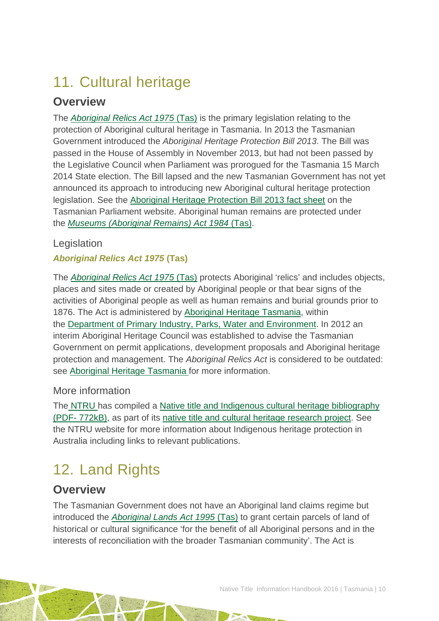# <span id="page-10-0"></span>11. Cultural heritage

## **Overview**

The *Aboriginal [Relics Act 1975](http://www5.austlii.edu.au/au/legis/tas/consol_act/ara1975159/)* (Tas) is the primary legislation relating to the protection of Aboriginal cultural heritage in Tasmania. In 2013 the Tasmanian Government introduced the *Aboriginal Heritage Protection Bill 2013*. The Bill was passed in the House of Assembly in November 2013, but had not been passed by the Legislative Council when Parliament was prorogued for the Tasmania 15 March 2014 State election. The Bill lapsed and the new Tasmanian Government has not yet announced its approach to introducing new Aboriginal cultural heritage protection legislation. See the [Aboriginal Heritage Protection Bill 2013 fact sheet](http://www.parliament.tas.gov.au/bills/Bills2013/pdf/notes/73_of_2013-Fact%20Sheet.pdf) on the Tasmanian Parliament website. Aboriginal human remains are protected under the *[Museums \(Aboriginal Remains\) Act 1984](http://www5.austlii.edu.au/au/legis/tas/consol_act/mra1984275/)* (Tas).

#### **Legislation**

#### *Aboriginal Relics Act 1975* **(Tas)**

The *[Aboriginal Relics Act 1975](http://www5.austlii.edu.au/au/legis/tas/consol_act/ara1975159/)* (Tas) protects Aboriginal 'relics' and includes objects, places and sites made or created by Aboriginal people or that bear signs of the activities of Aboriginal people as well as human remains and burial grounds prior to 1876. The Act is administered by [Aboriginal Heritage Tasmania,](http://www.aboriginalheritage.tas.gov.au/) within the [Department of Primary Industry, Parks, Water and Environment.](http://dpipwe.tas.gov.au/) In 2012 an interim Aboriginal Heritage Council was established to advise the Tasmanian Government on permit applications, development proposals and Aboriginal heritage protection and management. The *Aboriginal Relics Act* is considered to be outdated: see [Aboriginal Heritage Tasmania f](http://www.aboriginalheritage.tas.gov.au/)or more information.

#### More information

The [NTRU](http://aiatsis.gov.au/research/research-themes/native-title) has compiled a [Native title and Indigenous cultural heritage bibliography](http://aiatsis.gov.au/publications/products/native-title-and-indigenous-cultural-heritage-management-bibliography)  (PDF- [772kB\),](http://aiatsis.gov.au/publications/products/native-title-and-indigenous-cultural-heritage-management-bibliography) as part of its [native title and cultural heritage research project.](http://aiatsis.gov.au/research-and-guides/native-title-and-cultural-heritage) See the NTRU website for more information about Indigenous heritage protection in Australia including links to relevant publications.

# <span id="page-10-1"></span>12. Land Rights

### **Overview**

The Tasmanian Government does not have an Aboriginal land claims regime but introduced the *[Aboriginal Lands Act 1995](http://www.austlii.edu.au/au/legis/tas/consol_act/ala1995144/)* (Tas) to grant certain parcels of land of historical or cultural significance 'for the benefit of all Aboriginal persons and in the interests of reconciliation with the broader Tasmanian community'. The Act is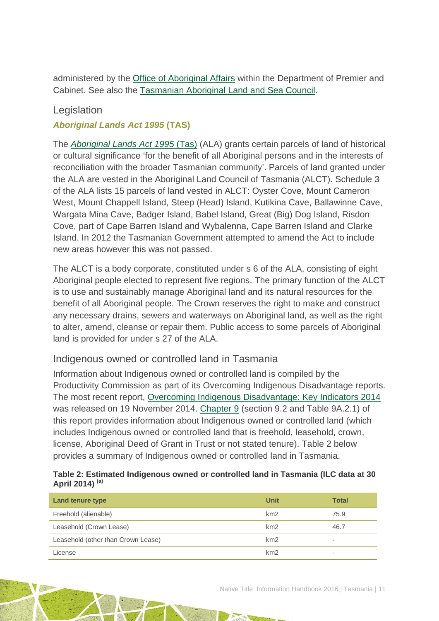administered by the [Office of Aboriginal Affairs](http://www.dpac.tas.gov.au/divisions/csrt/oaa) within the Department of Premier and Cabinet. See also the [Tasmanian Aboriginal Land and Sea Council.](http://www.talsc.org/about-talsc)

#### Legislation

#### *Aboriginal Lands Act 1995* **(TAS)**

The *[Aboriginal Lands Act 1995](http://www.austlii.edu.au/au/legis/tas/consol_act/ala1995144/)* (Tas) (ALA) grants certain parcels of land of historical or cultural significance 'for the benefit of all Aboriginal persons and in the interests of reconciliation with the broader Tasmanian community'. Parcels of land granted under the ALA are vested in the Aboriginal Land Council of Tasmania (ALCT). Schedule 3 of the ALA lists 15 parcels of land vested in ALCT: Oyster Cove, Mount Cameron West, Mount Chappell Island, Steep (Head) Island, Kutikina Cave, Ballawinne Cave, Wargata Mina Cave, Badger Island, Babel Island, Great (Big) Dog Island, Risdon Cove, part of Cape Barren Island and Wybalenna, Cape Barren Island and Clarke Island. In 2012 the Tasmanian Government attempted to amend the Act to include new areas however this was not passed.

The ALCT is a body corporate, constituted under s 6 of the ALA, consisting of eight Aboriginal people elected to represent five regions. The primary function of the ALCT is to use and sustainably manage Aboriginal land and its natural resources for the benefit of all Aboriginal people. The Crown reserves the right to make and construct any necessary drains, sewers and waterways on Aboriginal land, as well as the right to alter, amend, cleanse or repair them. Public access to some parcels of Aboriginal land is provided for under s 27 of the ALA.

#### Indigenous owned or controlled land in Tasmania

Information about Indigenous owned or controlled land is compiled by the Productivity Commission as part of its [Overcoming Indigenous Disadvantage](http://www.pc.gov.au/research/recurring/overcoming-indigenous-disadvantage) reports. The most recent report, [Overcoming Indigenous Disadvantage: Key Indicators 2014](http://www.pc.gov.au/research/recurring/overcoming-indigenous-disadvantage/key-indicators-2014) was released on 19 November 2014. [Chapter 9](http://www.pc.gov.au/research/ongoing/overcoming-indigenous-disadvantage/key-indicators-2014/09-key-indicators-2014-chapter9.pdf) (section 9.2 and Table 9A.2.1) of this report provides information about Indigenous owned or controlled land (which includes Indigenous owned or controlled land that is freehold, leasehold, crown, license, Aboriginal Deed of Grant in Trust or not stated tenure). Table 2 below provides a summary of Indigenous owned or controlled land in Tasmania.

#### **Table 2: Estimated Indigenous owned or controlled land in Tasmania (ILC data at 30 April 2014) (a)**

| <b>Land tenure type</b>            | Unit | <b>Total</b>             |
|------------------------------------|------|--------------------------|
| Freehold (alienable)               | km2  | 75.9                     |
| Leasehold (Crown Lease)            | km2  | 46.7                     |
| Leasehold (other than Crown Lease) | km2  | $\overline{\phantom{a}}$ |
| License                            | km2  | $\overline{\phantom{a}}$ |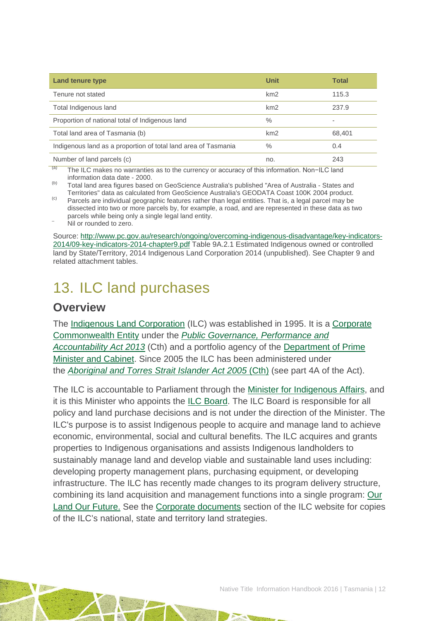| <b>Land tenure type</b>                                        | <b>Unit</b> | <b>Total</b>             |
|----------------------------------------------------------------|-------------|--------------------------|
| Tenure not stated                                              | km2         | 115.3                    |
| Total Indigenous land                                          | km2         | 237.9                    |
| Proportion of national total of Indigenous land                | $\%$        | $\overline{\phantom{a}}$ |
| Total land area of Tasmania (b)                                | km2         | 68,401                   |
| Indigenous land as a proportion of total land area of Tasmania | $\%$        | 0.4                      |
| Number of land parcels (c)<br>$\overline{\phantom{a}}$         | no.         | 243                      |

(a) The ILC makes no warranties as to the currency or accuracy of this information. Non−ILC land information data date - 2000.

(b) Total land area figures based on GeoScience Australia's published "Area of Australia - States and<br>Territories" data as calculated from GeoScience Australia's GEODATA Coast 100K 2004 product.

Territories and as calculated from Geodescience Australian Computer Australia Computer Australia Computer Product. Product. (c) Parcels are individual geographic features rather than legal entities. That is, a legal parcel dissected into two or more parcels by, for example, a road, and are represented in these data as two parcels while being only a single legal land entity.<br>Nil or rounded to zero.

Source: [http://www.pc.gov.au/research/ongoing/overcoming-indigenous-disadvantage/key-indicators-](http://www.pc.gov.au/research/ongoing/overcoming-indigenous-disadvantage/key-indicators-2014/09-key-indicators-2014-chapter9.pdf)[2014/09-key-indicators-2014-chapter9.pdf](http://www.pc.gov.au/research/ongoing/overcoming-indigenous-disadvantage/key-indicators-2014/09-key-indicators-2014-chapter9.pdf) Table 9A.2.1 Estimated Indigenous owned or controlled land by State/Territory, 2014 Indigenous Land Corporation 2014 (unpublished). See Chapter 9 and related attachment tables.

## <span id="page-12-0"></span>13. ILC land purchases

#### **Overview**

The [Indigenous Land Corporation](http://www.ilc.gov.au/Home) (ILC) was established in 1995. It is a [Corporate](http://www.finance.gov.au/resource-management/introduction/glossary/#c)  [Commonwealth Entity](http://www.finance.gov.au/resource-management/introduction/glossary/#c) under the *[Public Governance, Performance and](http://www.austlii.edu.au/au/legis/cth/consol_act/pgpaaa2013432/)  [Accountability Act 2013](http://www.austlii.edu.au/au/legis/cth/consol_act/pgpaaa2013432/)* (Cth) and a portfolio agency of the [Department of Prime](https://www.dpmc.gov.au/)  [Minister and Cabinet.](https://www.dpmc.gov.au/) Since 2005 the ILC has been administered under the *[Aboriginal and Torres Strait Islander Act 2005](http://www.austlii.edu.au/au/legis/cth/consol_act/aatsia2005359/)* (Cth) (see part 4A of the Act).

The ILC is accountable to Parliament through the [Minister for Indigenous Affairs,](http://minister.indigenous.gov.au/) and it is this Minister who appoints the [ILC Board.](http://www.ilc.gov.au/Home/About-Us/ILC-Board) The ILC Board is responsible for all policy and land purchase decisions and is not under the direction of the Minister. The ILC's purpose is to assist Indigenous people to acquire and manage land to achieve economic, environmental, social and cultural benefits. The ILC acquires and grants properties to Indigenous organisations and assists Indigenous landholders to sustainably manage land and develop viable and sustainable land uses including: developing property management plans, purchasing equipment, or developing infrastructure. The ILC has recently made changes to its program delivery structure, combining its land acquisition and management functions into a single program: [Our](http://www.ilc.gov.au/Home/Our-Land-Program)  [Land Our Future.](http://www.ilc.gov.au/Home/Our-Land-Program) See the [Corporate documents](http://www.ilc.gov.au/Home/Publications/Corporate-Documents) section of the ILC website for copies of the ILC's national, state and territory land strategies.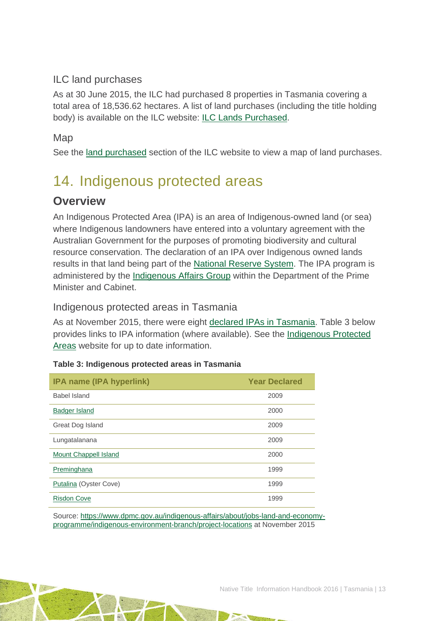#### ILC land purchases

As at 30 June 2015, the ILC had purchased 8 properties in Tasmania covering a total area of 18,536.62 hectares. A list of land purchases (including the title holding body) is available on the ILC website: [ILC Lands Purchased.](http://www.ilc.gov.au/Home/Land-Purchased/Land-Purchased-All-States)

#### **Map**

See the [land purchased](http://www.ilc.gov.au/Home/Land-Purchased) section of the ILC website to view a map of land purchases.

# <span id="page-13-0"></span>14. Indigenous protected areas

### **Overview**

An Indigenous Protected Area (IPA) is an area of Indigenous-owned land (or sea) where Indigenous landowners have entered into a voluntary agreement with the Australian Government for the purposes of promoting biodiversity and cultural resource conservation. The declaration of an IPA over Indigenous owned lands results in that land being part of the [National Reserve System.](http://www.environment.gov.au/land/nrs) The IPA program is administered by the [Indigenous Affairs Group](https://www.dpmc.gov.au/indigenous-affairs) within the Department of the Prime Minister and Cabinet.

Indigenous protected areas in Tasmania

As at November 2015, there were eight [declared IPAs in Tasmania.](http://www.environment.gov.au/indigenous/ipa/declared/tas.html) Table 3 below provides links to IPA information (where available). See the [Indigenous Protected](http://www.environment.gov.au/indigenous/ipa/)  [Areas](http://www.environment.gov.au/indigenous/ipa/) website for up to date information.

| IPA name (IPA hyperlink) | <b>Year Declared</b> |
|--------------------------|----------------------|
| Babel Island             | 2009                 |
| <b>Badger Island</b>     | 2000                 |
| Great Dog Island         | 2009                 |
| Lungatalanana            | 2009                 |
| Mount Chappell Island    | 2000                 |
| Preminghana              | 1999                 |
| Putalina (Oyster Cove)   | 1999                 |
| <b>Risdon Cove</b>       | 1999                 |

#### **Table 3: Indigenous protected areas in Tasmania**

Source: [https://www.dpmc.gov.au/indigenous-affairs/about/jobs-land-and-economy](https://www.dpmc.gov.au/indigenous-affairs/about/jobs-land-and-economy-programme/indigenous-environment-branch/project-locations)[programme/indigenous-environment-branch/project-locations](https://www.dpmc.gov.au/indigenous-affairs/about/jobs-land-and-economy-programme/indigenous-environment-branch/project-locations) at November 2015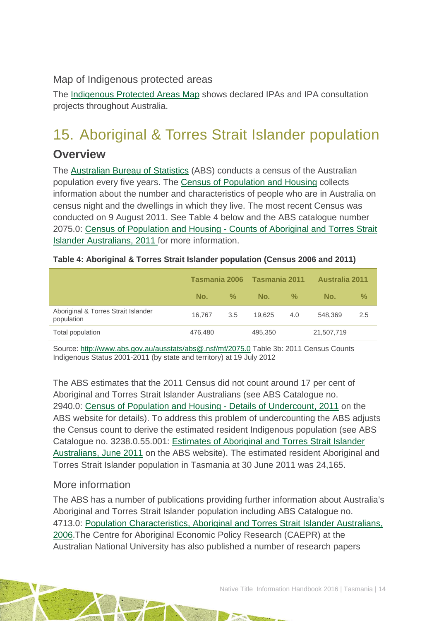Map of Indigenous protected areas

The [Indigenous Protected Areas Map](https://www.dpmc.gov.au/indigenous-affairs/about/jobs-land-and-economy-programme/indigenous-environment-branch/project-locations) shows declared IPAs and IPA consultation projects throughout Australia.

# <span id="page-14-0"></span>15. Aboriginal & Torres Strait Islander population

### **Overview**

The [Australian Bureau of Statistics](http://www.abs.gov.au/) (ABS) conducts a census of the Australian population every five years. The [Census of Population and Housing](http://www.abs.gov.au/websitedbs/censushome.nsf/home/what?opendocument&navpos=110) collects information about the number and characteristics of people who are in Australia on census night and the dwellings in which they live. The most recent Census was conducted on 9 August 2011. See Table 4 below and the ABS catalogue number 2075.0: Census of Population and Housing - Counts of Aboriginal and Torres Strait Islander Australians, 2011 for more information.

|                                                   | Tasmania 2006 |               | Tasmania 2011 |               | <b>Australia 2011</b> |               |
|---------------------------------------------------|---------------|---------------|---------------|---------------|-----------------------|---------------|
|                                                   | No.           | $\frac{9}{6}$ | No.           | $\frac{9}{6}$ | No.                   | $\frac{9}{6}$ |
| Aboriginal & Torres Strait Islander<br>population | 16.767        | 3.5           | 19.625        | 4.0           | 548,369               | 2.5           |
| Total population                                  | 476,480       |               | 495,350       |               | 21,507,719            |               |

**Table 4: Aboriginal & Torres Strait Islander population (Census 2006 and 2011)**

Source:<http://www.abs.gov.au/ausstats/abs@.nsf/mf/2075.0> Table 3b: 2011 Census Counts Indigenous Status 2001-2011 (by state and territory) at 19 July 2012

The ABS estimates that the 2011 Census did not count around 17 per cent of Aboriginal and Torres Strait Islander Australians (see ABS Catalogue no. 2940.0: [Census of Population and Housing -](http://www.abs.gov.au/ausstats/abs@.nsf/%20mf/2940.0) Details of Undercount, 2011 on the ABS website for details). To address this problem of undercounting the ABS adjusts the Census count to derive the estimated resident Indigenous population (see ABS Catalogue no. 3238.0.55.001: [Estimates of Aboriginal and Torres Strait Islander](http://www.abs.gov.au/AUSSTATS/abs@.nsf/Lookup/3238.0.55.001Main+Features1June%202011?OpenDocument)  [Australians, June 2011](http://www.abs.gov.au/AUSSTATS/abs@.nsf/Lookup/3238.0.55.001Main+Features1June%202011?OpenDocument) on the ABS website). The estimated resident Aboriginal and Torres Strait Islander population in Tasmania at 30 June 2011 was 24,165.

#### More information

The ABS has a number of publications providing further information about Australia's Aboriginal and Torres Strait Islander population including ABS Catalogue no. 4713.0: [Population Characteristics, Aboriginal and Torres Strait Islander Australians,](http://www.abs.gov.au/AUSSTATS/abs@.nsf/Lookup/4713.0Main+Features12006?OpenDocument)  [2006.](http://www.abs.gov.au/AUSSTATS/abs@.nsf/Lookup/4713.0Main+Features12006?OpenDocument)The Centre for Aboriginal Economic Policy Research (CAEPR) at the Australian National University has also published a number of research papers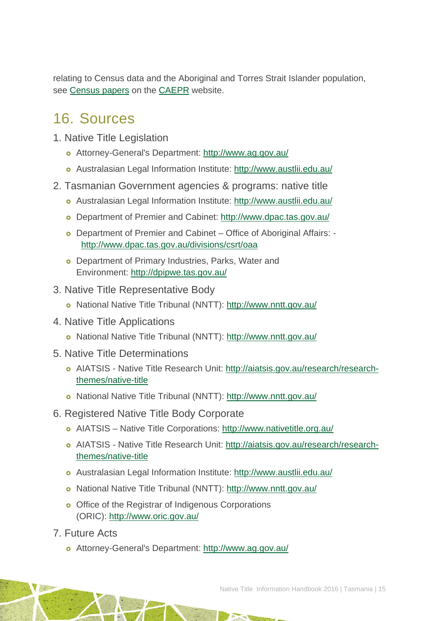relating to Census data and the Aboriginal and Torres Strait Islander population, see [Census papers](http://caepr.anu.edu.au/publications/censuspapers.php) on the [CAEPR](http://caepr.anu.edu.au/) website.

## <span id="page-15-0"></span>16. Sources

- 1. Native Title Legislation
	- Attorney-General's Department:<http://www.ag.gov.au/>
	- Australasian Legal Information Institute:<http://www.austlii.edu.au/>
- 2. Tasmanian Government agencies & programs: native title
	- Australasian Legal Information Institute:<http://www.austlii.edu.au/>
	- Department of Premier and Cabinet:<http://www.dpac.tas.gov.au/>
	- Department of Premier and Cabinet Office of Aboriginal Affairs: http://www.dpac.tas.gov.au/divisions/csrt/oaa
	- **o** Department of Primary Industries, Parks, Water and Environment:<http://dpipwe.tas.gov.au/>
- 3. Native Title Representative Body
	- National Native Title Tribunal (NNTT):<http://www.nntt.gov.au/>
- 4. Native Title Applications
	- National Native Title Tribunal (NNTT):<http://www.nntt.gov.au/>
- 5. Native Title Determinations
	- AIATSIS Native Title Research Unit: [http://aiatsis.gov.au/research/research](http://aiatsis.gov.au/research/research-themes/native-title)[themes/native-title](http://aiatsis.gov.au/research/research-themes/native-title)
	- National Native Title Tribunal (NNTT):<http://www.nntt.gov.au/>
- 6. Registered Native Title Body Corporate
	- AIATSIS Native Title Corporations:<http://www.nativetitle.org.au/>
	- AIATSIS Native Title Research Unit: [http://aiatsis.gov.au/research/research](http://aiatsis.gov.au/research/research-themes/native-title)[themes/native-title](http://aiatsis.gov.au/research/research-themes/native-title)
	- Australasian Legal Information Institute:<http://www.austlii.edu.au/>
	- National Native Title Tribunal (NNTT):<http://www.nntt.gov.au/>
	- o Office of the Registrar of Indigenous Corporations (ORIC):<http://www.oric.gov.au/>
- 7. Future Acts
	- Attorney-General's Department:<http://www.ag.gov.au/>